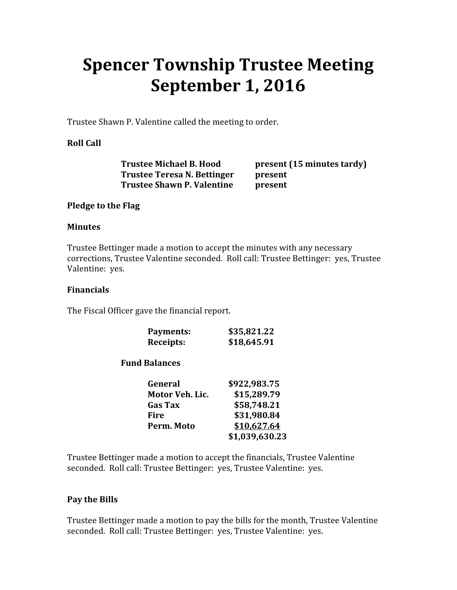# Spencer Township Trustee Meeting September 1, 2016

Trustee Shawn P. Valentine called the meeting to order.

## Roll Call

 Trustee Michael B. Hood present (15 minutes tardy) Trustee Teresa N. Bettinger present Trustee Shawn P. Valentine present

#### Pledge to the Flag

#### **Minutes**

Trustee Bettinger made a motion to accept the minutes with any necessary corrections, Trustee Valentine seconded. Roll call: Trustee Bettinger: yes, Trustee Valentine: yes.

#### Financials

The Fiscal Officer gave the financial report.

| Payments:        | \$35,821.22 |
|------------------|-------------|
| <b>Receipts:</b> | \$18,645.91 |

## Fund Balances

| General         | \$922,983.75   |
|-----------------|----------------|
| Motor Veh. Lic. | \$15,289.79    |
| <b>Gas Tax</b>  | \$58,748.21    |
| Fire            | \$31,980.84    |
| Perm. Moto      | \$10,627.64    |
|                 | \$1,039,630.23 |

Trustee Bettinger made a motion to accept the financials, Trustee Valentine seconded. Roll call: Trustee Bettinger: yes, Trustee Valentine: yes.

## Pay the Bills

Trustee Bettinger made a motion to pay the bills for the month, Trustee Valentine seconded. Roll call: Trustee Bettinger: yes, Trustee Valentine: yes.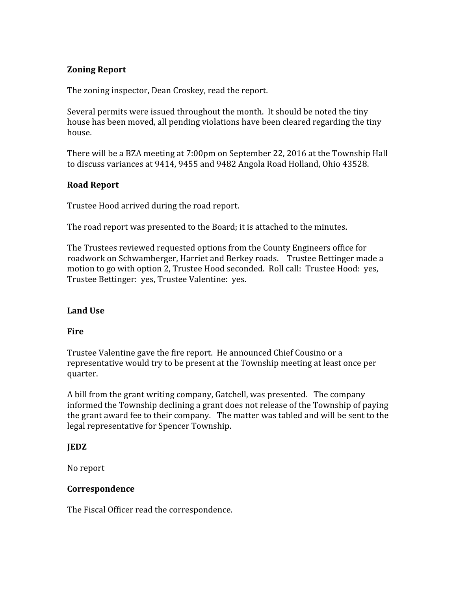## Zoning Report

The zoning inspector, Dean Croskey, read the report.

Several permits were issued throughout the month. It should be noted the tiny house has been moved, all pending violations have been cleared regarding the tiny house.

There will be a BZA meeting at 7:00pm on September 22, 2016 at the Township Hall to discuss variances at 9414, 9455 and 9482 Angola Road Holland, Ohio 43528.

## Road Report

Trustee Hood arrived during the road report.

The road report was presented to the Board; it is attached to the minutes.

The Trustees reviewed requested options from the County Engineers office for roadwork on Schwamberger, Harriet and Berkey roads. Trustee Bettinger made a motion to go with option 2, Trustee Hood seconded. Roll call: Trustee Hood: yes, Trustee Bettinger: yes, Trustee Valentine: yes.

## Land Use

## **Fire**

Trustee Valentine gave the fire report. He announced Chief Cousino or a representative would try to be present at the Township meeting at least once per quarter.

A bill from the grant writing company, Gatchell, was presented. The company informed the Township declining a grant does not release of the Township of paying the grant award fee to their company. The matter was tabled and will be sent to the legal representative for Spencer Township.

## **IEDZ**

No report

## Correspondence

The Fiscal Officer read the correspondence.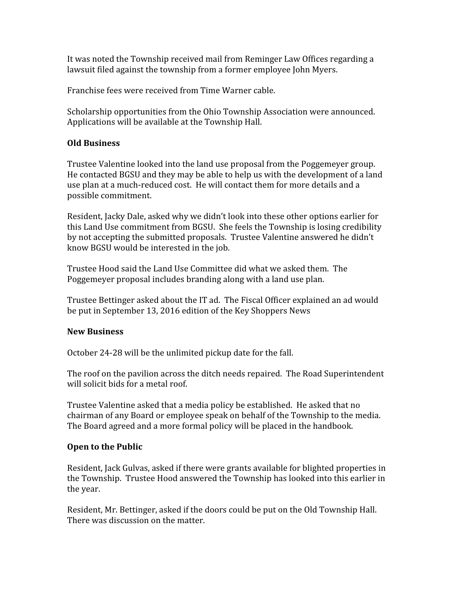It was noted the Township received mail from Reminger Law Offices regarding a lawsuit filed against the township from a former employee John Myers.

Franchise fees were received from Time Warner cable.

Scholarship opportunities from the Ohio Township Association were announced. Applications will be available at the Township Hall.

## Old Business

Trustee Valentine looked into the land use proposal from the Poggemeyer group. He contacted BGSU and they may be able to help us with the development of a land use plan at a much-reduced cost. He will contact them for more details and a possible commitment.

Resident, Jacky Dale, asked why we didn't look into these other options earlier for this Land Use commitment from BGSU. She feels the Township is losing credibility by not accepting the submitted proposals. Trustee Valentine answered he didn't know BGSU would be interested in the job.

Trustee Hood said the Land Use Committee did what we asked them. The Poggemeyer proposal includes branding along with a land use plan.

Trustee Bettinger asked about the IT ad. The Fiscal Officer explained an ad would be put in September 13, 2016 edition of the Key Shoppers News

## New Business

October 24-28 will be the unlimited pickup date for the fall.

The roof on the pavilion across the ditch needs repaired. The Road Superintendent will solicit bids for a metal roof.

Trustee Valentine asked that a media policy be established. He asked that no chairman of any Board or employee speak on behalf of the Township to the media. The Board agreed and a more formal policy will be placed in the handbook.

## Open to the Public

Resident, Jack Gulvas, asked if there were grants available for blighted properties in the Township. Trustee Hood answered the Township has looked into this earlier in the year.

Resident, Mr. Bettinger, asked if the doors could be put on the Old Township Hall. There was discussion on the matter.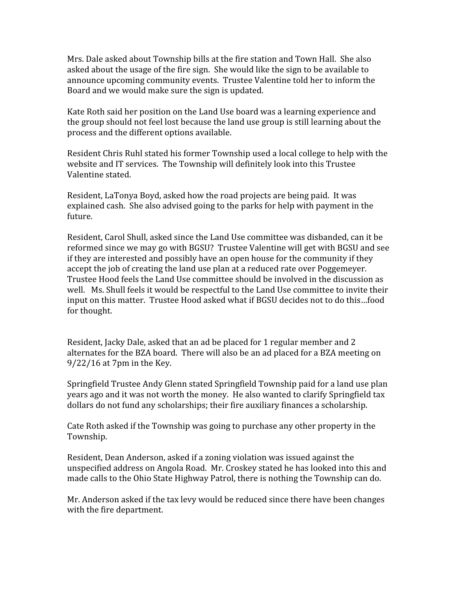Mrs. Dale asked about Township bills at the fire station and Town Hall. She also asked about the usage of the fire sign. She would like the sign to be available to announce upcoming community events. Trustee Valentine told her to inform the Board and we would make sure the sign is updated.

Kate Roth said her position on the Land Use board was a learning experience and the group should not feel lost because the land use group is still learning about the process and the different options available.

Resident Chris Ruhl stated his former Township used a local college to help with the website and IT services. The Township will definitely look into this Trustee Valentine stated.

Resident, LaTonya Boyd, asked how the road projects are being paid. It was explained cash. She also advised going to the parks for help with payment in the future.

Resident, Carol Shull, asked since the Land Use committee was disbanded, can it be reformed since we may go with BGSU? Trustee Valentine will get with BGSU and see if they are interested and possibly have an open house for the community if they accept the job of creating the land use plan at a reduced rate over Poggemeyer. Trustee Hood feels the Land Use committee should be involved in the discussion as well. Ms. Shull feels it would be respectful to the Land Use committee to invite their input on this matter. Trustee Hood asked what if BGSU decides not to do this…food for thought.

Resident, Jacky Dale, asked that an ad be placed for 1 regular member and 2 alternates for the BZA board. There will also be an ad placed for a BZA meeting on 9/22/16 at 7pm in the Key.

Springfield Trustee Andy Glenn stated Springfield Township paid for a land use plan years ago and it was not worth the money. He also wanted to clarify Springfield tax dollars do not fund any scholarships; their fire auxiliary finances a scholarship.

Cate Roth asked if the Township was going to purchase any other property in the Township.

Resident, Dean Anderson, asked if a zoning violation was issued against the unspecified address on Angola Road. Mr. Croskey stated he has looked into this and made calls to the Ohio State Highway Patrol, there is nothing the Township can do.

Mr. Anderson asked if the tax levy would be reduced since there have been changes with the fire department.